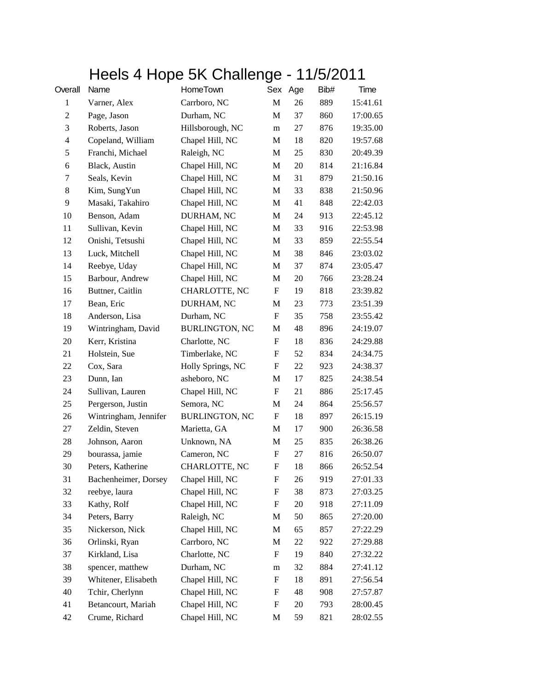## Heels 4 Hope 5K Challenge - 11/5/2011

| Overall        | Name                  | HomeTown              |                  | Sex Age | Bib# | Time     |
|----------------|-----------------------|-----------------------|------------------|---------|------|----------|
| $\mathbf{1}$   | Varner, Alex          | Carrboro, NC          | $\mathbf M$      | 26      | 889  | 15:41.61 |
| $\overline{c}$ | Page, Jason           | Durham, NC            | M                | 37      | 860  | 17:00.65 |
| 3              | Roberts, Jason        | Hillsborough, NC      | m                | $27\,$  | 876  | 19:35.00 |
| $\overline{4}$ | Copeland, William     | Chapel Hill, NC       | M                | 18      | 820  | 19:57.68 |
| 5              | Franchi, Michael      | Raleigh, NC           | M                | 25      | 830  | 20:49.39 |
| 6              | Black, Austin         | Chapel Hill, NC       | M                | 20      | 814  | 21:16.84 |
| 7              | Seals, Kevin          | Chapel Hill, NC       | M                | 31      | 879  | 21:50.16 |
| 8              | Kim, SungYun          | Chapel Hill, NC       | M                | 33      | 838  | 21:50.96 |
| 9              | Masaki, Takahiro      | Chapel Hill, NC       | M                | 41      | 848  | 22:42.03 |
| 10             | Benson, Adam          | DURHAM, NC            | M                | 24      | 913  | 22:45.12 |
| 11             | Sullivan, Kevin       | Chapel Hill, NC       | M                | 33      | 916  | 22:53.98 |
| 12             | Onishi, Tetsushi      | Chapel Hill, NC       | M                | 33      | 859  | 22:55.54 |
| 13             | Luck, Mitchell        | Chapel Hill, NC       | M                | 38      | 846  | 23:03.02 |
| 14             | Reebye, Uday          | Chapel Hill, NC       | M                | 37      | 874  | 23:05.47 |
| 15             | Barbour, Andrew       | Chapel Hill, NC       | M                | 20      | 766  | 23:28.24 |
| 16             | Buttner, Caitlin      | CHARLOTTE, NC         | ${\bf F}$        | 19      | 818  | 23:39.82 |
| 17             | Bean, Eric            | DURHAM, NC            | M                | 23      | 773  | 23:51.39 |
| 18             | Anderson, Lisa        | Durham, NC            | F                | 35      | 758  | 23:55.42 |
| 19             | Wintringham, David    | <b>BURLINGTON, NC</b> | M                | 48      | 896  | 24:19.07 |
| 20             | Kerr, Kristina        | Charlotte, NC         | F                | 18      | 836  | 24:29.88 |
| 21             | Holstein, Sue         | Timberlake, NC        | F                | 52      | 834  | 24:34.75 |
| 22             | Cox, Sara             | Holly Springs, NC     | F                | 22      | 923  | 24:38.37 |
| 23             | Dunn, Ian             | asheboro, NC          | $\mathbf{M}$     | 17      | 825  | 24:38.54 |
| 24             | Sullivan, Lauren      | Chapel Hill, NC       | F                | 21      | 886  | 25:17.45 |
| 25             | Pergerson, Justin     | Semora, NC            | M                | 24      | 864  | 25:56.57 |
| 26             | Wintringham, Jennifer | <b>BURLINGTON, NC</b> | ${\bf F}$        | 18      | 897  | 26:15.19 |
| 27             | Zeldin, Steven        | Marietta, GA          | M                | 17      | 900  | 26:36.58 |
| 28             | Johnson, Aaron        | Unknown, NA           | M                | 25      | 835  | 26:38.26 |
| 29             | bourassa, jamie       | Cameron, NC           | F                | 27      | 816  | 26:50.07 |
| 30             | Peters, Katherine     | CHARLOTTE, NC         | $\mathbf F$      | 18      | 866  | 26:52.54 |
| 31             | Bachenheimer, Dorsey  | Chapel Hill, NC       | F                | 26      | 919  | 27:01.33 |
| 32             | reebye, laura         | Chapel Hill, NC       | F                | 38      | 873  | 27:03.25 |
| 33             | Kathy, Rolf           | Chapel Hill, NC       | F                | 20      | 918  | 27:11.09 |
| 34             | Peters, Barry         | Raleigh, NC           | M                | 50      | 865  | 27:20.00 |
| 35             | Nickerson, Nick       | Chapel Hill, NC       | M                | 65      | 857  | 27:22.29 |
| 36             | Orlinski, Ryan        | Carrboro, NC          | M                | $22\,$  | 922  | 27:29.88 |
| 37             | Kirkland, Lisa        | Charlotte, NC         | F                | 19      | 840  | 27:32.22 |
| 38             | spencer, matthew      | Durham, NC            | m                | 32      | 884  | 27:41.12 |
| 39             | Whitener, Elisabeth   | Chapel Hill, NC       | $\boldsymbol{F}$ | 18      | 891  | 27:56.54 |
| 40             | Tchir, Cherlynn       | Chapel Hill, NC       | $\boldsymbol{F}$ | 48      | 908  | 27:57.87 |
| 41             | Betancourt, Mariah    | Chapel Hill, NC       | $\boldsymbol{F}$ | 20      | 793  | 28:00.45 |
| 42             | Crume, Richard        | Chapel Hill, NC       | M                | 59      | 821  | 28:02.55 |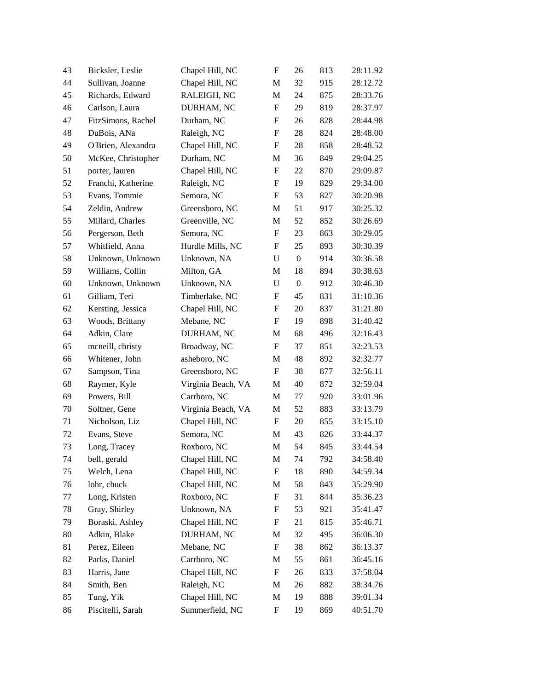| 43 | Bicksler, Leslie   | Chapel Hill, NC    | ${\bf F}$                 | 26               | 813 | 28:11.92 |
|----|--------------------|--------------------|---------------------------|------------------|-----|----------|
| 44 | Sullivan, Joanne   | Chapel Hill, NC    | M                         | 32               | 915 | 28:12.72 |
| 45 | Richards, Edward   | RALEIGH, NC        | M                         | 24               | 875 | 28:33.76 |
| 46 | Carlson, Laura     | DURHAM, NC         | $\boldsymbol{F}$          | 29               | 819 | 28:37.97 |
| 47 | FitzSimons, Rachel | Durham, NC         | $\boldsymbol{F}$          | 26               | 828 | 28:44.98 |
| 48 | DuBois, ANa        | Raleigh, NC        | $\boldsymbol{\mathrm{F}}$ | $28\,$           | 824 | 28:48.00 |
| 49 | O'Brien, Alexandra | Chapel Hill, NC    | F                         | 28               | 858 | 28:48.52 |
| 50 | McKee, Christopher | Durham, NC         | M                         | 36               | 849 | 29:04.25 |
| 51 | porter, lauren     | Chapel Hill, NC    | $\boldsymbol{F}$          | 22               | 870 | 29:09.87 |
| 52 | Franchi, Katherine | Raleigh, NC        | F                         | 19               | 829 | 29:34.00 |
| 53 | Evans, Tommie      | Semora, NC         | $\boldsymbol{\mathrm{F}}$ | 53               | 827 | 30:20.98 |
| 54 | Zeldin, Andrew     | Greensboro, NC     | M                         | 51               | 917 | 30:25.32 |
| 55 | Millard, Charles   | Greenville, NC     | M                         | 52               | 852 | 30:26.69 |
| 56 | Pergerson, Beth    | Semora, NC         | $\boldsymbol{F}$          | 23               | 863 | 30:29.05 |
| 57 | Whitfield, Anna    | Hurdle Mills, NC   | F                         | 25               | 893 | 30:30.39 |
| 58 | Unknown, Unknown   | Unknown, NA        | $\mathbf U$               | $\boldsymbol{0}$ | 914 | 30:36.58 |
| 59 | Williams, Collin   | Milton, GA         | M                         | 18               | 894 | 30:38.63 |
| 60 | Unknown, Unknown   | Unknown, NA        | $\mathbf U$               | $\boldsymbol{0}$ | 912 | 30:46.30 |
| 61 | Gilliam, Teri      | Timberlake, NC     | $\boldsymbol{F}$          | 45               | 831 | 31:10.36 |
| 62 | Kersting, Jessica  | Chapel Hill, NC    | $\boldsymbol{F}$          | 20               | 837 | 31:21.80 |
| 63 | Woods, Brittany    | Mebane, NC         | F                         | 19               | 898 | 31:40.42 |
| 64 | Adkin, Clare       | DURHAM, NC         | M                         | 68               | 496 | 32:16.43 |
| 65 | mcneill, christy   | Broadway, NC       | ${\bf F}$                 | 37               | 851 | 32:23.53 |
| 66 | Whitener, John     | asheboro, NC       | M                         | 48               | 892 | 32:32.77 |
| 67 | Sampson, Tina      | Greensboro, NC     | F                         | 38               | 877 | 32:56.11 |
| 68 | Raymer, Kyle       | Virginia Beach, VA | M                         | 40               | 872 | 32:59.04 |
| 69 | Powers, Bill       | Carrboro, NC       | M                         | 77               | 920 | 33:01.96 |
| 70 | Soltner, Gene      | Virginia Beach, VA | M                         | 52               | 883 | 33:13.79 |
| 71 | Nicholson, Liz     | Chapel Hill, NC    | $\boldsymbol{F}$          | 20               | 855 | 33:15.10 |
| 72 | Evans, Steve       | Semora, NC         | M                         | 43               | 826 | 33:44.37 |
| 73 | Long, Tracey       | Roxboro, NC        | M                         | 54               | 845 | 33:44.54 |
| 74 | bell, gerald       | Chapel Hill, NC    | M                         | 74               | 792 | 34:58.40 |
| 75 | Welch, Lena        | Chapel Hill, NC    | $\boldsymbol{\mathrm{F}}$ | 18               | 890 | 34:59.34 |
| 76 | lohr, chuck        | Chapel Hill, NC    | M                         | 58               | 843 | 35:29.90 |
| 77 | Long, Kristen      | Roxboro, NC        | ${\rm F}$                 | 31               | 844 | 35:36.23 |
| 78 | Gray, Shirley      | Unknown, NA        | F                         | 53               | 921 | 35:41.47 |
| 79 | Boraski, Ashley    | Chapel Hill, NC    | $\boldsymbol{F}$          | 21               | 815 | 35:46.71 |
| 80 | Adkin, Blake       | DURHAM, NC         | M                         | 32               | 495 | 36:06.30 |
| 81 | Perez, Eileen      | Mebane, NC         | ${\rm F}$                 | 38               | 862 | 36:13.37 |
| 82 | Parks, Daniel      | Carrboro, NC       | M                         | 55               | 861 | 36:45.16 |
| 83 | Harris, Jane       | Chapel Hill, NC    | $\boldsymbol{\mathrm{F}}$ | 26               | 833 | 37:58.04 |
| 84 | Smith, Ben         | Raleigh, NC        | M                         | 26               | 882 | 38:34.76 |
| 85 | Tung, Yik          | Chapel Hill, NC    | M                         | 19               | 888 | 39:01.34 |
| 86 | Piscitelli, Sarah  | Summerfield, NC    | ${\rm F}$                 | 19               | 869 | 40:51.70 |